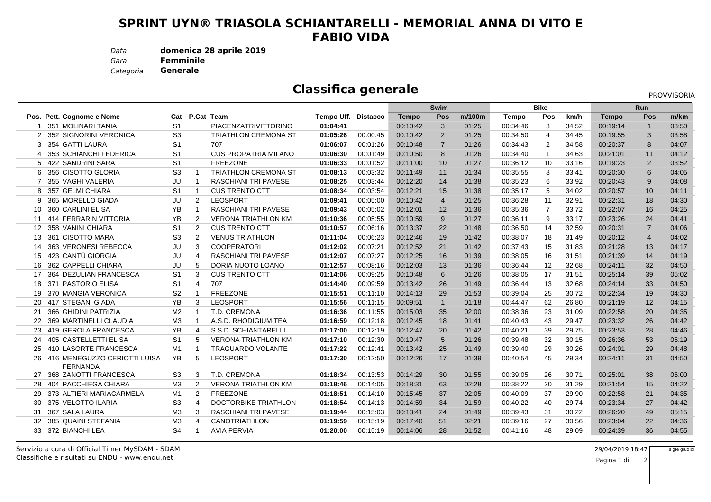## **SPRINT UYN® TRIASOLA SCHIANTARELLI - MEMORIAL ANNA DI VITO EFABIO VIDA**

*Data***domenica 28 aprile 2019**

*Gara*

**Femminile**

 **Generale***Categoria*

## **Classifica generale**

PROVVISORIA

|    |                                                 |                |                |                             |                     |          | <b>Swim</b>  |                 |        | <b>Bike</b> |                |       | <b>Run</b>   |                |       |
|----|-------------------------------------------------|----------------|----------------|-----------------------------|---------------------|----------|--------------|-----------------|--------|-------------|----------------|-------|--------------|----------------|-------|
|    | Pos. Pett. Cognome e Nome                       | Cat            |                | P.Cat Team                  | Tempo Uff. Distacco |          | <b>Tempo</b> | Pos             | m/100m | Tempo       | Pos            | km/h  | <b>Tempo</b> | Pos            | m/km  |
|    | 351 MOLINARI TANIA                              | S <sub>1</sub> |                | PIACENZATRIVITTORINO        | 01:04:41            |          | 00:10:42     | 3               | 01:25  | 00:34:46    | 3              | 34.52 | 00:19:14     | $\mathbf{1}$   | 03:50 |
|    | 2 352 SIGNORINI VERONICA                        | S <sub>3</sub> |                | <b>TRIATHLON CREMONA ST</b> | 01:05:26            | 00:00:45 | 00:10:42     | 2               | 01:25  | 00:34:50    | $\overline{4}$ | 34.45 | 00:19:55     | 3              | 03:58 |
|    | 3 354 GATTI LAURA                               | S <sub>1</sub> |                | 707                         | 01:06:07            | 00:01:26 | 00:10:48     | $\overline{7}$  | 01:26  | 00:34:43    | $\overline{2}$ | 34.58 | 00:20:37     | 8              | 04:07 |
| 4  | 353 SCHIANCHI FEDERICA                          | S <sub>1</sub> |                | <b>CUS PROPATRIA MILANO</b> | 01:06:30            | 00:01:49 | 00:10:50     | 8               | 01:26  | 00:34:40    | $\mathbf{1}$   | 34.63 | 00:21:01     | 11             | 04:12 |
|    | 5 422 SANDRINI SARA                             | S <sub>1</sub> |                | <b>FREEZONE</b>             | 01:06:33            | 00:01:52 | 00:11:00     | 10 <sup>1</sup> | 01:27  | 00:36:12    | 10             | 33.16 | 00:19:23     | 2              | 03:52 |
| 6  | 356 CISOTTO GLORIA                              | S <sub>3</sub> |                | <b>TRIATHLON CREMONA ST</b> | 01:08:13            | 00:03:32 | 00:11:49     | 11              | 01:34  | 00:35:55    | 8              | 33.41 | 00:20:30     | 6              | 04:05 |
| 7  | 355 VAGHI VALERIA                               | JU             | -1             | <b>RASCHIANI TRI PAVESE</b> | 01:08:25            | 00:03:44 | 00:12:20     | 14              | 01:38  | 00:35:23    | 6              | 33.92 | 00:20:43     | 9              | 04:08 |
| 8  | 357 GELMI CHIARA                                | S <sub>1</sub> | $\mathbf{1}$   | <b>CUS TRENTO CTT</b>       | 01:08:34            | 00:03:54 | 00:12:21     | 15              | 01:38  | 00:35:17    | 5              | 34.02 | 00:20:57     | 10             | 04:11 |
| 9  | 365 MORELLO GIADA                               | JU             | $\overline{2}$ | <b>LEOSPORT</b>             | 01:09:41            | 00:05:00 | 00:10:42     | $\overline{4}$  | 01:25  | 00:36:28    | 11             | 32.91 | 00:22:31     | 18             | 04:30 |
| 10 | 360 CARLINI ELISA                               | YB             | $\mathbf{1}$   | <b>RASCHIANI TRI PAVESE</b> | 01:09:43            | 00:05:02 | 00:12:01     | 12              | 01:36  | 00:35:36    | $\overline{7}$ | 33.72 | 00:22:07     | 16             | 04:25 |
| 11 | <b>414 FERRARIN VITTORIA</b>                    | YB             | 2              | <b>VERONA TRIATHLON KM</b>  | 01:10:36            | 00:05:55 | 00:10:59     | 9               | 01:27  | 00:36:11    | 9              | 33.17 | 00:23:26     | 24             | 04:41 |
| 12 | 358 VANINI CHIARA                               | S <sub>1</sub> | 2              | <b>CUS TRENTO CTT</b>       | 01:10:57            | 00:06:16 | 00:13:37     | 22              | 01:48  | 00:36:50    | 14             | 32.59 | 00:20:31     | $\overline{7}$ | 04:06 |
| 13 | 361 CISOTTO MARA                                | S <sub>3</sub> | $\overline{2}$ | <b>VENUS TRIATHLON</b>      | 01:11:04            | 00:06:23 | 00:12:46     | 19              | 01:42  | 00:38:07    | 18             | 31.49 | 00:20:12     | $\overline{4}$ | 04:02 |
| 14 | 363 VERONESI REBECCA                            | JU             | 3              | <b>COOPERATORI</b>          | 01:12:02            | 00:07:21 | 00:12:52     | 21              | 01:42  | 00:37:43    | 15             | 31.83 | 00:21:28     | 13             | 04:17 |
| 15 | 423 CANTÙ GIORGIA                               | JU             | $\overline{4}$ | <b>RASCHIANI TRI PAVESE</b> | 01:12:07            | 00:07:27 | 00:12:25     | 16              | 01:39  | 00:38:05    | 16             | 31.51 | 00:21:39     | 14             | 04:19 |
| 16 | 362 CAPPELLI CHIARA                             | JU             | 5              | DORIA NUOTO LOANO           | 01:12:57            | 00:08:16 | 00:12:03     | 13              | 01:36  | 00:36:44    | 12             | 32.68 | 00:24:11     | 32             | 04:50 |
| 17 | 364 DEZULIAN FRANCESCA                          | S <sub>1</sub> | 3              | <b>CUS TRENTO CTT</b>       | 01:14:06            | 00:09:25 | 00:10:48     | 6               | 01:26  | 00:38:05    | 17             | 31.51 | 00:25:14     | 39             | 05:02 |
| 18 | 371 PASTORIO ELISA                              | S <sub>1</sub> | $\overline{4}$ | 707                         | 01:14:40            | 00:09:59 | 00:13:42     | 26              | 01:49  | 00:36:44    | 13             | 32.68 | 00:24:14     | 33             | 04:50 |
| 19 | 370 MANGIA VERONICA                             | S <sub>2</sub> |                | <b>FREEZONE</b>             | 01:15:51            | 00:11:10 | 00:14:13     | 29              | 01:53  | 00:39:04    | 25             | 30.72 | 00:22:34     | 19             | 04:30 |
| 20 | 417 STEGANI GIADA                               | <b>YB</b>      | 3              | <b>LEOSPORT</b>             | 01:15:56            | 00:11:15 | 00:09:51     | $\overline{1}$  | 01:18  | 00:44:47    | 62             | 26.80 | 00:21:19     | 12             | 04:15 |
| 21 | 366 GHIDINI PATRIZIA                            | M <sub>2</sub> |                | T.D. CREMONA                | 01:16:36            | 00:11:55 | 00:15:03     | 35              | 02:00  | 00:38:36    | 23             | 31.09 | 00:22:58     | 20             | 04:35 |
| 22 | 369 MARTINELLI CLAUDIA                          | M <sub>3</sub> |                | A.S.D. RHODIGIUM TEA        | 01:16:59            | 00:12:18 | 00:12:45     | 18              | 01:41  | 00:40:43    | 43             | 29.47 | 00:23:32     | 26             | 04:42 |
| 23 | 419 GEROLA FRANCESCA                            | YB             | 4              | S.S.D. SCHIANTARELLI        | 01:17:00            | 00:12:19 | 00:12:47     | 20              | 01:42  | 00:40:21    | 39             | 29.75 | 00:23:53     | 28             | 04:46 |
| 24 | 405 CASTELLETTI ELISA                           | S <sub>1</sub> | 5              | <b>VERONA TRIATHLON KM</b>  | 01:17:10            | 00:12:30 | 00:10:47     | 5               | 01:26  | 00:39:48    | 32             | 30.15 | 00:26:36     | 53             | 05:19 |
| 25 | 410 LASORTE FRANCESCA                           | M1             | $\mathbf{1}$   | <b>TRAGUARDO VOLANTE</b>    | 01:17:22            | 00:12:41 | 00:13:42     | 25              | 01:49  | 00:39:40    | 29             | 30.26 | 00:24:01     | 29             | 04:48 |
| 26 | 416 MENEGUZZO CERIOTTI LUISA<br><b>FERNANDA</b> | <b>YB</b>      | 5              | <b>LEOSPORT</b>             | 01:17:30            | 00:12:50 | 00:12:26     | 17              | 01:39  | 00:40:54    | 45             | 29.34 | 00:24:11     | 31             | 04:50 |
|    | 368 ZANOTTI FRANCESCA                           | S <sub>3</sub> | 3              | T.D. CREMONA                | 01:18:34            | 00:13:53 | 00:14:29     | 30              | 01:55  | 00:39:05    | 26             | 30.71 | 00:25:01     | 38             | 05:00 |
| 28 | 404 PACCHIEGA CHIARA                            | M <sub>3</sub> | 2              | <b>VERONA TRIATHLON KM</b>  | 01:18:46            | 00:14:05 | 00:18:31     | 63              | 02:28  | 00:38:22    | 20             | 31.29 | 00:21:54     | 15             | 04:22 |
| 29 | 373 ALTIERI MARIACARMELA                        | M1             | $\overline{2}$ | <b>FREEZONE</b>             | 01:18:51            | 00:14:10 | 00:15:45     | 37              | 02:05  | 00:40:09    | 37             | 29.90 | 00:22:58     | 21             | 04:35 |
| 30 | 375 VELOTTO ILARIA                              | S <sub>3</sub> | $\overline{4}$ | DOCTORBIKE TRIATHLON        | 01:18:54            | 00:14:13 | 00:14:59     | 34              | 01:59  | 00:40:22    | 40             | 29.74 | 00:23:34     | 27             | 04:42 |
| 31 | 367 SALA LAURA                                  | M3             | 3              | RASCHIANI TRI PAVESE        | 01:19:44            | 00:15:03 | 00:13:41     | 24              | 01:49  | 00:39:43    | 31             | 30.22 | 00:26:20     | 49             | 05:15 |
| 32 | 385 QUAINI STEFANIA                             | M <sub>3</sub> | 4              | <b>CANOTRIATHLON</b>        | 01:19:59            | 00:15:19 | 00:17:40     | 51              | 02:21  | 00:39:16    | 27             | 30.56 | 00:23:04     | 22             | 04:36 |
|    | 33 372 BIANCHI LEA                              | S <sub>4</sub> | $\mathbf 1$    | <b>AVIA PERVIA</b>          | 01:20:00            | 00:15:19 | 00:14:06     | 28              | 01:52  | 00:41:16    | 48             | 29.09 | 00:24:39     | 36             | 04:55 |
|    |                                                 |                |                |                             |                     |          |              |                 |        |             |                |       |              |                |       |

Classifiche e risultati su ENDU - www.endu.netServizio a cura di Official Timer MySDAM - SDAM

 $M_{\rm}$  29/04/2019 18:47 sigle giudici

2

Pagina 1 di